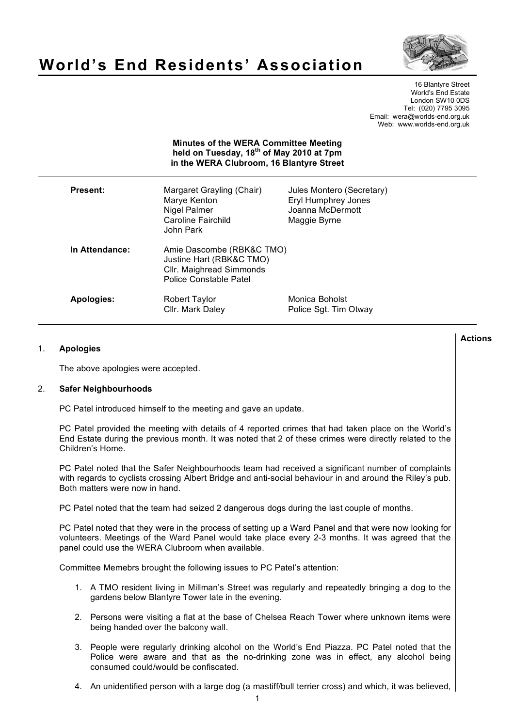

# **World's End Residents' Association**

16 Blantyre Street World's End Estate London SW10 0DS Tel: (020) 7795 3095 Email: wera@worlds-end.org.uk Web: www.worlds-end.org.uk

## **Minutes of the WERA Committee Meeting held on Tuesday, 18th of May 2010 at 7pm in the WERA Clubroom, 16 Blantyre Street**

| Present:       | Margaret Grayling (Chair)<br>Marye Kenton<br>Nigel Palmer<br>Caroline Fairchild<br>John Park                | Jules Montero (Secretary)<br><b>Eryl Humphrey Jones</b><br>Joanna McDermott<br>Maggie Byrne |
|----------------|-------------------------------------------------------------------------------------------------------------|---------------------------------------------------------------------------------------------|
| In Attendance: | Amie Dascombe (RBK&C TMO)<br>Justine Hart (RBK&C TMO)<br>Cllr. Maighread Simmonds<br>Police Constable Patel |                                                                                             |
| Apologies:     | Robert Taylor<br>Cllr. Mark Daley                                                                           | Monica Boholst<br>Police Sgt. Tim Otway                                                     |

# 1. **Apologies**

The above apologies were accepted.

## 2. **Safer Neighbourhoods**

PC Patel introduced himself to the meeting and gave an update.

PC Patel provided the meeting with details of 4 reported crimes that had taken place on the World's End Estate during the previous month. It was noted that 2 of these crimes were directly related to the Children's Home.

PC Patel noted that the Safer Neighbourhoods team had received a significant number of complaints with regards to cyclists crossing Albert Bridge and anti-social behaviour in and around the Riley's pub. Both matters were now in hand.

PC Patel noted that the team had seized 2 dangerous dogs during the last couple of months.

PC Patel noted that they were in the process of setting up a Ward Panel and that were now looking for volunteers. Meetings of the Ward Panel would take place every 2-3 months. It was agreed that the panel could use the WERA Clubroom when available.

Committee Memebrs brought the following issues to PC Patel's attention:

- 1. A TMO resident living in Millman's Street was regularly and repeatedly bringing a dog to the gardens below Blantyre Tower late in the evening.
- 2. Persons were visiting a flat at the base of Chelsea Reach Tower where unknown items were being handed over the balcony wall.
- 3. People were regularly drinking alcohol on the World's End Piazza. PC Patel noted that the Police were aware and that as the no-drinking zone was in effect, any alcohol being consumed could/would be confiscated.
- 4. An unidentified person with a large dog (a mastiff/bull terrier cross) and which, it was believed,

**Actions**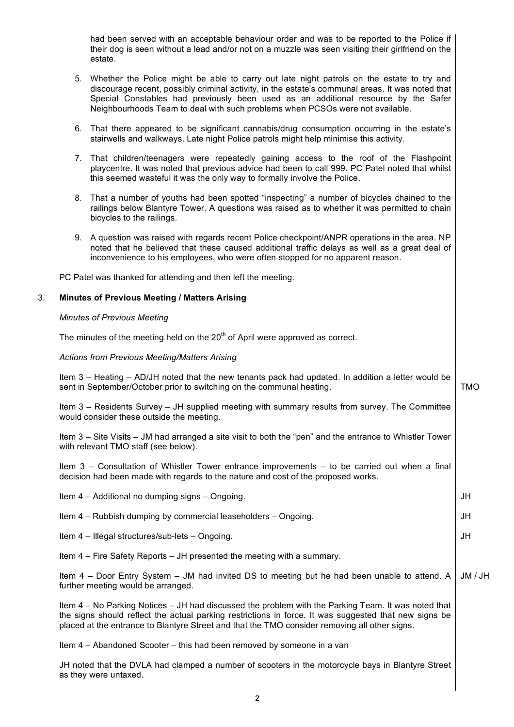had been served with an acceptable behaviour order and was to be reported to the Police if their dog is seen without a lead and/or not on a muzzle was seen visiting their girlfriend on the estate.

- 5. Whether the Police might be able to carry out late night patrols on the estate to try and discourage recent, possibly criminal activity, in the estate's communal areas. It was noted that Special Constables had previously been used as an additional resource by the Safer Neighbourhoods Team to deal with such problems when PCSOs were not available.
- 6. That there appeared to be significant cannabis/drug consumption occurring in the estate's stairwells and walkways. Late night Police patrols might help minimise this activity.
- 7. That children/teenagers were repeatedly gaining access to the roof of the Flashpoint playcentre. It was noted that previous advice had been to call 999. PC Patel noted that whilst this seemed wasteful it was the only way to formally involve the Police.
- 8. That a number of youths had been spotted "inspecting" a number of bicycles chained to the railings below Blantyre Tower. A questions was raised as to whether it was permitted to chain bicycles to the railings.
- 9. A question was raised with regards recent Police checkpoint/ANPR operations in the area. NP noted that he believed that these caused additional traffic delays as well as a great deal of inconvenience to his employees, who were often stopped for no apparent reason.

PC Patel was thanked for attending and then left the meeting.

## 3. **Minutes of Previous Meeting / Matters Arising**

## *Minutes of Previous Meeting*

The minutes of the meeting held on the  $20<sup>th</sup>$  of April were approved as correct.

## *Actions from Previous Meeting/Matters Arising*

Item 3 – Heating – AD/JH noted that the new tenants pack had updated. In addition a letter would be sent in September/October prior to switching on the communal heating. TMO

Item 3 – Residents Survey – JH supplied meeting with summary results from survey. The Committee would consider these outside the meeting.

Item 3 – Site Visits – JM had arranged a site visit to both the "pen" and the entrance to Whistler Tower with relevant TMO staff (see below).

Item 3 – Consultation of Whistler Tower entrance improvements – to be carried out when a final decision had been made with regards to the nature and cost of the proposed works.

| Item 4 – Additional no dumping signs – Ongoing.                                                                                                                                                                                                                                                               | JH      |
|---------------------------------------------------------------------------------------------------------------------------------------------------------------------------------------------------------------------------------------------------------------------------------------------------------------|---------|
| Item 4 – Rubbish dumping by commercial leaseholders – Ongoing.                                                                                                                                                                                                                                                | JH      |
| Item 4 - Illegal structures/sub-lets - Ongoing.                                                                                                                                                                                                                                                               | JH      |
| Item 4 – Fire Safety Reports – JH presented the meeting with a summary.                                                                                                                                                                                                                                       |         |
| Item 4 – Door Entry System – JM had invited DS to meeting but he had been unable to attend. A<br>further meeting would be arranged.                                                                                                                                                                           | JM / JH |
| Item 4 – No Parking Notices – JH had discussed the problem with the Parking Team. It was noted that<br>the signs should reflect the actual parking restrictions in force. It was suggested that new signs be<br>placed at the entrance to Blantyre Street and that the TMO consider removing all other signs. |         |
| Item 4 – Abandoned Scooter – this had been removed by someone in a van                                                                                                                                                                                                                                        |         |

JH noted that the DVLA had clamped a number of scooters in the motorcycle bays in Blantyre Street as they were untaxed.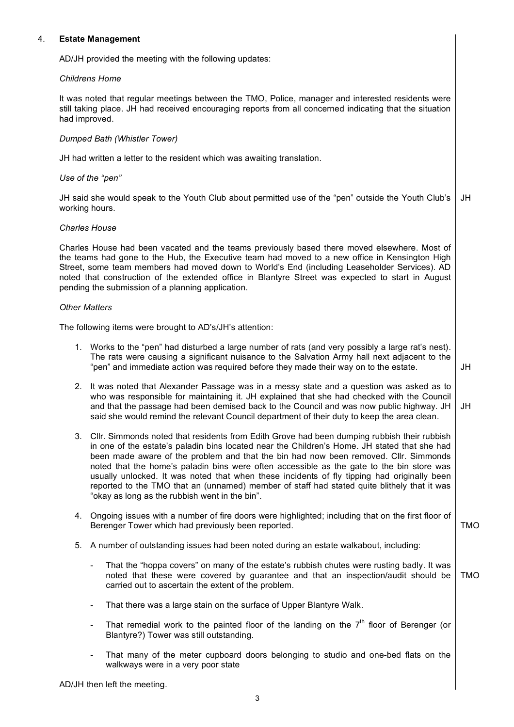# 4. **Estate Management**

AD/JH provided the meeting with the following updates:

## *Childrens Home*

It was noted that regular meetings between the TMO, Police, manager and interested residents were still taking place. JH had received encouraging reports from all concerned indicating that the situation had improved.

# *Dumped Bath (Whistler Tower)*

JH had written a letter to the resident which was awaiting translation.

## *Use of the "pen"*

JH said she would speak to the Youth Club about permitted use of the "pen" outside the Youth Club's working hours. JH

## *Charles House*

Charles House had been vacated and the teams previously based there moved elsewhere. Most of the teams had gone to the Hub, the Executive team had moved to a new office in Kensington High Street, some team members had moved down to World's End (including Leaseholder Services). AD noted that construction of the extended office in Blantyre Street was expected to start in August pending the submission of a planning application.

#### *Other Matters*

The following items were brought to AD's/JH's attention:

- 1. Works to the "pen" had disturbed a large number of rats (and very possibly a large rat's nest). The rats were causing a significant nuisance to the Salvation Army hall next adjacent to the "pen" and immediate action was required before they made their way on to the estate. JH
- 2. It was noted that Alexander Passage was in a messy state and a question was asked as to who was responsible for maintaining it. JH explained that she had checked with the Council and that the passage had been demised back to the Council and was now public highway. JH said she would remind the relevant Council department of their duty to keep the area clean. JH
- 3. Cllr. Simmonds noted that residents from Edith Grove had been dumping rubbish their rubbish in one of the estate's paladin bins located near the Children's Home. JH stated that she had been made aware of the problem and that the bin had now been removed. Cllr. Simmonds noted that the home's paladin bins were often accessible as the gate to the bin store was usually unlocked. It was noted that when these incidents of fly tipping had originally been reported to the TMO that an (unnamed) member of staff had stated quite blithely that it was "okay as long as the rubbish went in the bin".
- 4. Ongoing issues with a number of fire doors were highlighted; including that on the first floor of Berenger Tower which had previously been reported. TMO
- 5. A number of outstanding issues had been noted during an estate walkabout, including:
	- That the "hoppa covers" on many of the estate's rubbish chutes were rusting badly. It was noted that these were covered by guarantee and that an inspection/audit should be carried out to ascertain the extent of the problem. TMO
	- That there was a large stain on the surface of Upper Blantyre Walk.
	- That remedial work to the painted floor of the landing on the  $7<sup>th</sup>$  floor of Berenger (or Blantyre?) Tower was still outstanding.
	- That many of the meter cupboard doors belonging to studio and one-bed flats on the walkways were in a very poor state

AD/JH then left the meeting.